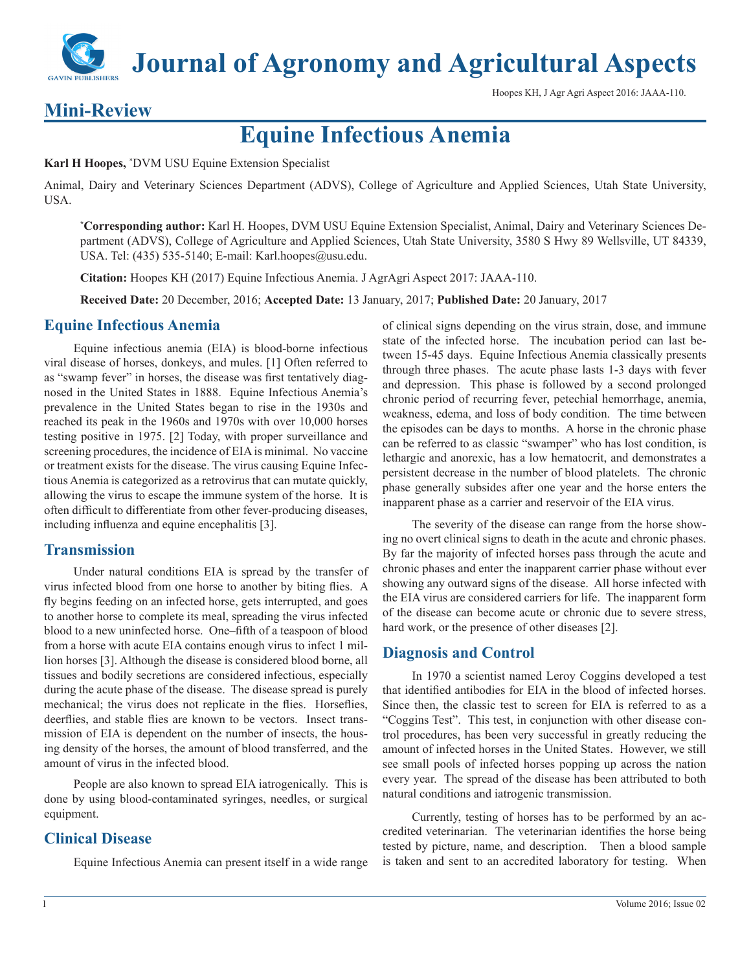**Journal of Agronomy and Agricultural Aspects**

Hoopes KH, J Agr Agri Aspect 2016: JAAA-110.

# **Mini-Review**

**Equine Infectious Anemia**

**Karl H Hoopes,** \* DVM USU Equine Extension Specialist

Animal, Dairy and Veterinary Sciences Department (ADVS), College of Agriculture and Applied Sciences, Utah State University, USA.

**\* Corresponding author:** Karl H. Hoopes, DVM USU Equine Extension Specialist, Animal, Dairy and Veterinary Sciences Department (ADVS), College of Agriculture and Applied Sciences, Utah State University, 3580 S Hwy 89 Wellsville, UT 84339, USA. Tel: (435) 535-5140; E-mail: Karl.hoopes@usu.edu.

**Citation:** Hoopes KH (2017) Equine Infectious Anemia. J AgrAgri Aspect 2017: JAAA-110.

**Received Date:** 20 December, 2016; **Accepted Date:** 13 January, 2017; **Published Date:** 20 January, 2017

## **Equine Infectious Anemia**

Equine infectious anemia (EIA) is blood-borne infectious viral disease of horses, donkeys, and mules. [1] Often referred to as "swamp fever" in horses, the disease was first tentatively diagnosed in the United States in 1888. Equine Infectious Anemia's prevalence in the United States began to rise in the 1930s and reached its peak in the 1960s and 1970s with over 10,000 horses testing positive in 1975. [2] Today, with proper surveillance and screening procedures, the incidence of EIA is minimal. No vaccine or treatment exists for the disease. The virus causing Equine Infectious Anemia is categorized as a retrovirus that can mutate quickly, allowing the virus to escape the immune system of the horse. It is often difficult to differentiate from other fever-producing diseases, including influenza and equine encephalitis [3].

## **Transmission**

Under natural conditions EIA is spread by the transfer of virus infected blood from one horse to another by biting flies. A fly begins feeding on an infected horse, gets interrupted, and goes to another horse to complete its meal, spreading the virus infected blood to a new uninfected horse. One–fifth of a teaspoon of blood from a horse with acute EIA contains enough virus to infect 1 million horses [3]. Although the disease is considered blood borne, all tissues and bodily secretions are considered infectious, especially during the acute phase of the disease. The disease spread is purely mechanical; the virus does not replicate in the flies. Horseflies, deerflies, and stable flies are known to be vectors. Insect transmission of EIA is dependent on the number of insects, the housing density of the horses, the amount of blood transferred, and the amount of virus in the infected blood.

People are also known to spread EIA iatrogenically. This is done by using blood-contaminated syringes, needles, or surgical equipment.

## **Clinical Disease**

Equine Infectious Anemia can present itself in a wide range

of clinical signs depending on the virus strain, dose, and immune state of the infected horse. The incubation period can last between 15-45 days. Equine Infectious Anemia classically presents through three phases. The acute phase lasts 1-3 days with fever and depression. This phase is followed by a second prolonged chronic period of recurring fever, petechial hemorrhage, anemia, weakness, edema, and loss of body condition. The time between the episodes can be days to months. A horse in the chronic phase can be referred to as classic "swamper" who has lost condition, is lethargic and anorexic, has a low hematocrit, and demonstrates a persistent decrease in the number of blood platelets. The chronic phase generally subsides after one year and the horse enters the inapparent phase as a carrier and reservoir of the EIA virus.

The severity of the disease can range from the horse showing no overt clinical signs to death in the acute and chronic phases. By far the majority of infected horses pass through the acute and chronic phases and enter the inapparent carrier phase without ever showing any outward signs of the disease. All horse infected with the EIA virus are considered carriers for life. The inapparent form of the disease can become acute or chronic due to severe stress, hard work, or the presence of other diseases [2].

## **Diagnosis and Control**

In 1970 a scientist named Leroy Coggins developed a test that identified antibodies for EIA in the blood of infected horses. Since then, the classic test to screen for EIA is referred to as a "Coggins Test". This test, in conjunction with other disease control procedures, has been very successful in greatly reducing the amount of infected horses in the United States. However, we still see small pools of infected horses popping up across the nation every year. The spread of the disease has been attributed to both natural conditions and iatrogenic transmission.

Currently, testing of horses has to be performed by an accredited veterinarian. The veterinarian identifies the horse being tested by picture, name, and description. Then a blood sample is taken and sent to an accredited laboratory for testing. When